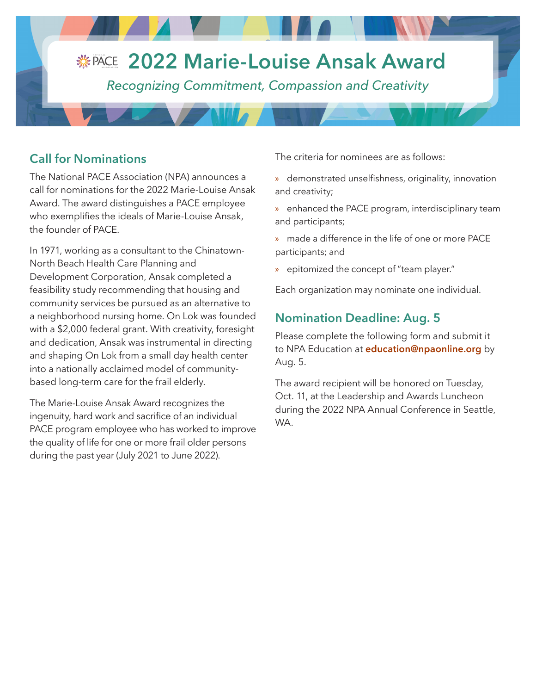#### **PACE 2022 Marie-Louise Ansak Award VUV** ASSOCIATION

*Recognizing Commitment, Compassion and Creativity*

## **Call for Nominations**

The National PACE Association (NPA) announces a call for nominations for the 2022 Marie-Louise Ansak Award. The award distinguishes a PACE employee who exemplifies the ideals of Marie-Louise Ansak, the founder of PACE.

In 1971, working as a consultant to the Chinatown-North Beach Health Care Planning and Development Corporation, Ansak completed a feasibility study recommending that housing and community services be pursued as an alternative to a neighborhood nursing home. On Lok was founded with a \$2,000 federal grant. With creativity, foresight and dedication, Ansak was instrumental in directing and shaping On Lok from a small day health center into a nationally acclaimed model of communitybased long-term care for the frail elderly.

The Marie-Louise Ansak Award recognizes the ingenuity, hard work and sacrifice of an individual PACE program employee who has worked to improve the quality of life for one or more frail older persons during the past year (July 2021 to June 2022).

The criteria for nominees are as follows:

- » demonstrated unselfishness, originality, innovation and creativity;
- » enhanced the PACE program, interdisciplinary team and participants;
- » made a difference in the life of one or more PACE participants; and
- » epitomized the concept of "team player."

Each organization may nominate one individual.

### **Nomination Deadline: Aug. 5**

Please complete the following form and submit it to NPA Education at **[education@npaonline.org](mailto:education%40npaonline.org?subject=)** by Aug. 5.

The award recipient will be honored on Tuesday, Oct. 11, at the Leadership and Awards Luncheon during the 2022 NPA Annual Conference in Seattle, WA.